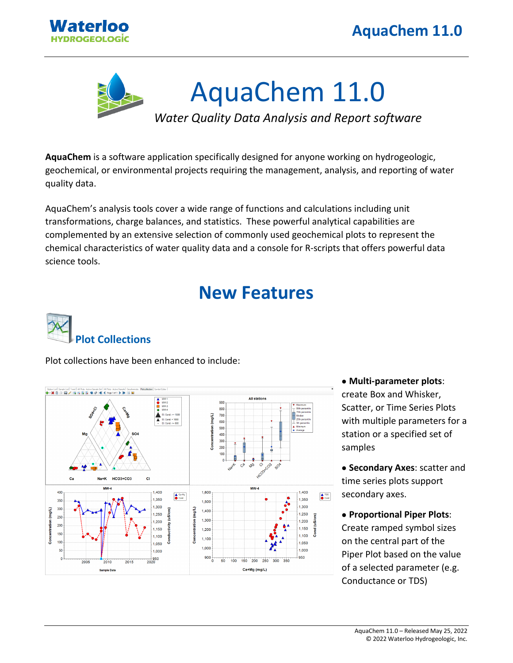



**AquaChem** is a software application specifically designed for anyone working on hydrogeologic, geochemical, or environmental projects requiring the management, analysis, and reporting of water quality data.

AquaChem's analysis tools cover a wide range of functions and calculations including unit transformations, charge balances, and statistics. These powerful analytical capabilities are complemented by an extensive selection of commonly used geochemical plots to represent the chemical characteristics of water quality data and a console for R-scripts that offers powerful data science tools.

# **New Features**



Plot collections have been enhanced to include:



• **Multi-parameter plots**: create Box and Whisker, Scatter, or Time Series Plots with multiple parameters for a station or a specified set of samples

• **Secondary Axes**: scatter and time series plots support secondary axes.

• **Proportional Piper Plots**: Create ramped symbol sizes on the central part of the Piper Plot based on the value of a selected parameter (e.g. Conductance or TDS)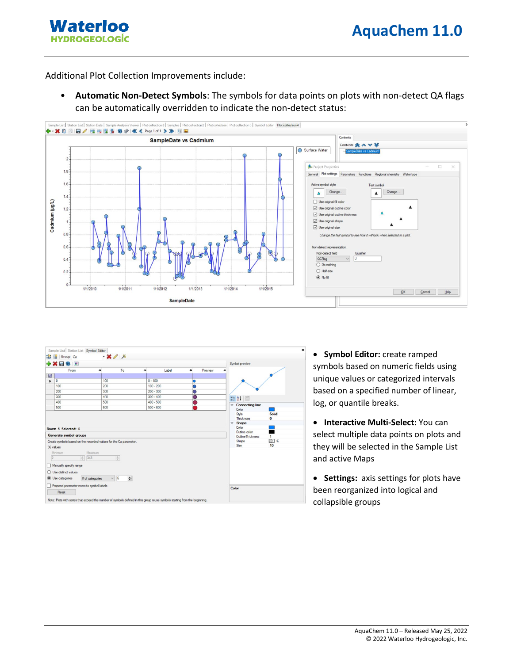**Waterloo HYDROGEOLOGİC** 

Additional Plot Collection Improvements include:

• **Automatic Non-Detect Symbols**: The symbols for data points on plots with non-detect QA flags can be automatically overridden to indicate the non-detect status:





• **Symbol Editor:** create ramped symbols based on numeric fields using unique values or categorized intervals based on a specified number of linear, log, or quantile breaks.

• **Interactive Multi-Select:** You can select multiple data points on plots and they will be selected in the Sample List and active Maps

• **Settings:** axis settings for plots have been reorganized into logical and collapsible groups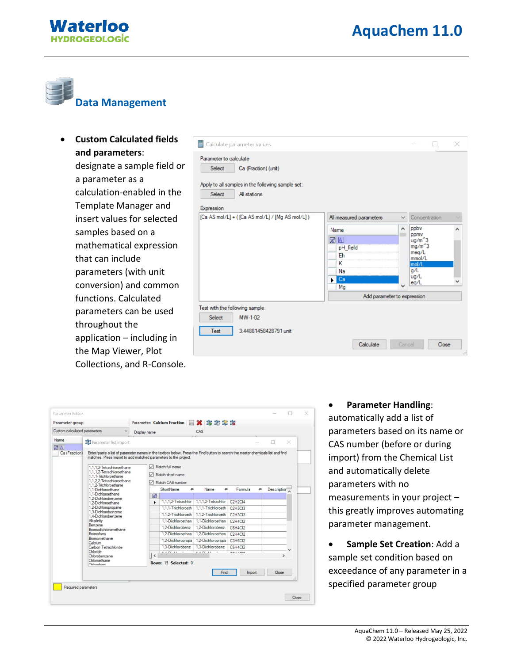



## **Data Management**

• **Custom Calculated fields and parameters**: designate a sample field or a parameter as a calculation-enabled in the Template Manager and insert values for selected samples based on a mathematical expression that can include parameters (with unit conversion) and common functions. Calculated parameters can be used throughout the application – including in the Map Viewer, Plot Collections, and R-Console.

| Test with the following sample:<br>Select<br>MW-1-02          |                             |              |                      |   |  |  |
|---------------------------------------------------------------|-----------------------------|--------------|----------------------|---|--|--|
|                                                               | Add parameter to expression |              |                      |   |  |  |
|                                                               | Mg                          | $\checkmark$ | eq/L                 |   |  |  |
|                                                               | Ca                          |              | ug/L                 |   |  |  |
|                                                               | Na                          |              | mol/L<br>g/L         |   |  |  |
|                                                               | Eh<br>κ                     |              | mmol/L               |   |  |  |
|                                                               | pH_field                    |              | meq/L                |   |  |  |
|                                                               | <b>ZA</b>                   |              | $ug/m^3$<br>$mg/m^3$ |   |  |  |
|                                                               | Name                        | $\land$      | ppmy                 | ́ |  |  |
|                                                               |                             |              | ppby                 |   |  |  |
| Expression<br>[Ca AS mol/L] + ([Ca AS mol/L] / [Mg AS mol/L]) | All measured parameters     |              | Concentration        |   |  |  |
|                                                               |                             |              |                      |   |  |  |
| Select<br>All stations                                        |                             |              |                      |   |  |  |
| Apply to all samples in the following sample set:             |                             |              |                      |   |  |  |
| Select<br>Ca (Fraction) (unit)                                |                             |              |                      |   |  |  |
| Parameter to calculate                                        |                             |              |                      |   |  |  |
| 畐<br>Calculate parameter values                               |                             |              | л                    | X |  |  |

| Custom calculated parameters                           |                                                                                                                                                                                                                                                             | Display name |                | CAS                                 |                    |                                               |              |          |
|--------------------------------------------------------|-------------------------------------------------------------------------------------------------------------------------------------------------------------------------------------------------------------------------------------------------------------|--------------|----------------|-------------------------------------|--------------------|-----------------------------------------------|--------------|----------|
| Name                                                   | <b>121</b> Parameter list import                                                                                                                                                                                                                            |              |                |                                     |                    |                                               |              | $\times$ |
| <b>ZA IA</b><br>Ca (Fraction)                          | Enter/paste a list of parameter names in the textbox below. Press the Find button to search the master chemicals list and find<br>matches. Press Import to add matched parameters to the project.<br>1.1.1.2-Tetrachloroethane<br>1.1.1.2-Tetrachloroethane |              |                | Match full name<br>Match short name |                    |                                               |              |          |
|                                                        | 1.1.1-Trichloroethane<br>1.1.2.2-Tetrachloroethane<br>1.1.2-Trichloroethane                                                                                                                                                                                 |              |                | Match CAS number                    |                    |                                               |              |          |
|                                                        |                                                                                                                                                                                                                                                             |              | ShortName<br>÷ | Name<br>٠                           | Formula<br>Ð       | Description <sup>®</sup>                      |              |          |
|                                                        | 1.1-Dichloroethane<br>1.1-Dichloroethene                                                                                                                                                                                                                    |              | 圂              |                                     |                    |                                               |              |          |
|                                                        | 1.2-Dichlorobenzene<br>1.2-Dichloroethane<br>1.2-Dichloropropane<br>1.3-Dichlorobenzene<br>1.4-Dichlorobenzene<br>Alkalinity<br>Benzene<br>Bromodichloromethane<br><b>Bromoform</b><br>Bromomethane<br>Calcium                                              |              | ь              | 1.1.1.2-Tetrachlor                  | 1.1.1.2-Tetrachlor | C <sub>2</sub> H <sub>2C</sub> <sub>14</sub>  |              |          |
|                                                        |                                                                                                                                                                                                                                                             |              |                | 1.1.1-Trichloroeth                  | 1.1.1-Trichloroeth | C <sub>2</sub> H <sub>3</sub> C <sub>13</sub> |              |          |
|                                                        |                                                                                                                                                                                                                                                             |              |                | 1.1.2-Trichloroeth                  | 1.1.2-Trichloroeth | <b>C2H3CI3</b>                                |              |          |
|                                                        |                                                                                                                                                                                                                                                             |              |                | 1.1-Dichloroethan                   | 1.1-Dichloroethan  | C2H4Cl2                                       |              |          |
|                                                        |                                                                                                                                                                                                                                                             |              |                | 1.2-Dichlorobenz                    | 1.2-Dichlorobenz   | C6H4Cl2                                       |              |          |
|                                                        |                                                                                                                                                                                                                                                             |              |                | 1.2-Dichloroethan                   | 12-Dichloroethan   | <b>C2H4Cl2</b>                                |              |          |
|                                                        |                                                                                                                                                                                                                                                             |              |                | 1.2-Dichloropropa                   | 1.2-Dichloropropa  | <b>C3H6CI2</b>                                |              |          |
|                                                        | Carbon Tetrachloride                                                                                                                                                                                                                                        |              |                | 1.3-Dichlorobenz                    | 1.3-Dichlorobenz   | C6H4Cl2                                       |              |          |
| Chloride<br>Chlorobenzene<br>Chloroethane<br>Chlomform |                                                                                                                                                                                                                                                             | $\epsilon$   | $4.60111 - 1$  | 4.4,00,11,1                         | 2011222            |                                               | $\mathbf{r}$ |          |
|                                                        |                                                                                                                                                                                                                                                             |              |                |                                     |                    |                                               |              |          |
|                                                        |                                                                                                                                                                                                                                                             |              |                | Rows: 15 Selected: 0                |                    |                                               |              |          |
|                                                        |                                                                                                                                                                                                                                                             |              |                |                                     | Find               | Import                                        | Close        |          |
|                                                        |                                                                                                                                                                                                                                                             |              |                |                                     |                    |                                               |              | .si      |

#### • **Parameter Handling**: automatically add a list of parameters based on its name or CAS number (before or during import) from the Chemical List and automatically delete parameters with no measurements in your project – this greatly improves automating parameter management.

• **Sample Set Creation**: Add a sample set condition based on exceedance of any parameter in a specified parameter group